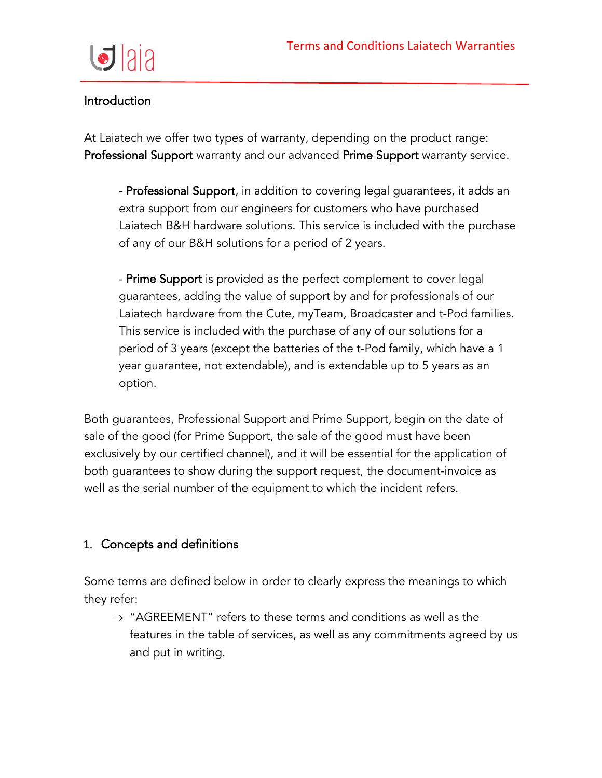

### Introduction

At Laiatech we offer two types of warranty, depending on the product range: Professional Support warranty and our advanced Prime Support warranty service.

- Professional Support, in addition to covering legal guarantees, it adds an extra support from our engineers for customers who have purchased Laiatech B&H hardware solutions. This service is included with the purchase of any of our B&H solutions for a period of 2 years.

- Prime Support is provided as the perfect complement to cover legal guarantees, adding the value of support by and for professionals of our Laiatech hardware from the Cute, myTeam, Broadcaster and t-Pod families. This service is included with the purchase of any of our solutions for a period of 3 years (except the batteries of the t-Pod family, which have a 1 year guarantee, not extendable), and is extendable up to 5 years as an option.

Both guarantees, Professional Support and Prime Support, begin on the date of sale of the good (for Prime Support, the sale of the good must have been exclusively by our certified channel), and it will be essential for the application of both guarantees to show during the support request, the document-invoice as well as the serial number of the equipment to which the incident refers.

# 1. Concepts and definitions

Some terms are defined below in order to clearly express the meanings to which they refer:

 $\rightarrow$  "AGREEMENT" refers to these terms and conditions as well as the features in the table of services, as well as any commitments agreed by us and put in writing.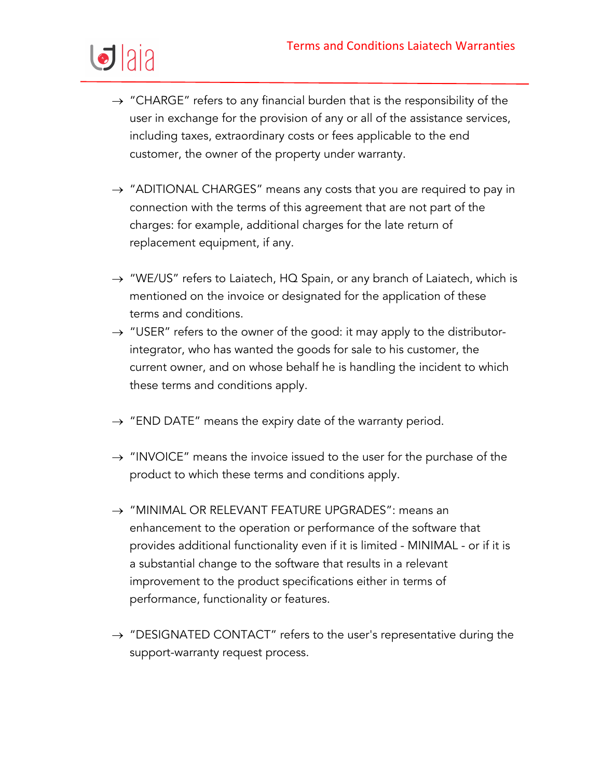

- $\rightarrow$  "CHARGE" refers to any financial burden that is the responsibility of the user in exchange for the provision of any or all of the assistance services, including taxes, extraordinary costs or fees applicable to the end customer, the owner of the property under warranty.
- $\rightarrow$  "ADITIONAL CHARGES" means any costs that you are required to pay in connection with the terms of this agreement that are not part of the charges: for example, additional charges for the late return of replacement equipment, if any.
- $\rightarrow$  "WE/US" refers to Laiatech, HQ Spain, or any branch of Laiatech, which is mentioned on the invoice or designated for the application of these terms and conditions.
- $\rightarrow$  "USER" refers to the owner of the good: it may apply to the distributorintegrator, who has wanted the goods for sale to his customer, the current owner, and on whose behalf he is handling the incident to which these terms and conditions apply.
- $\rightarrow$  "END DATE" means the expiry date of the warranty period.
- $\rightarrow$  "INVOICE" means the invoice issued to the user for the purchase of the product to which these terms and conditions apply.
- $\rightarrow$  "MINIMAL OR RELEVANT FEATURE UPGRADES": means an enhancement to the operation or performance of the software that provides additional functionality even if it is limited - MINIMAL - or if it is a substantial change to the software that results in a relevant improvement to the product specifications either in terms of performance, functionality or features.
- $\rightarrow$  "DESIGNATED CONTACT" refers to the user's representative during the support-warranty request process.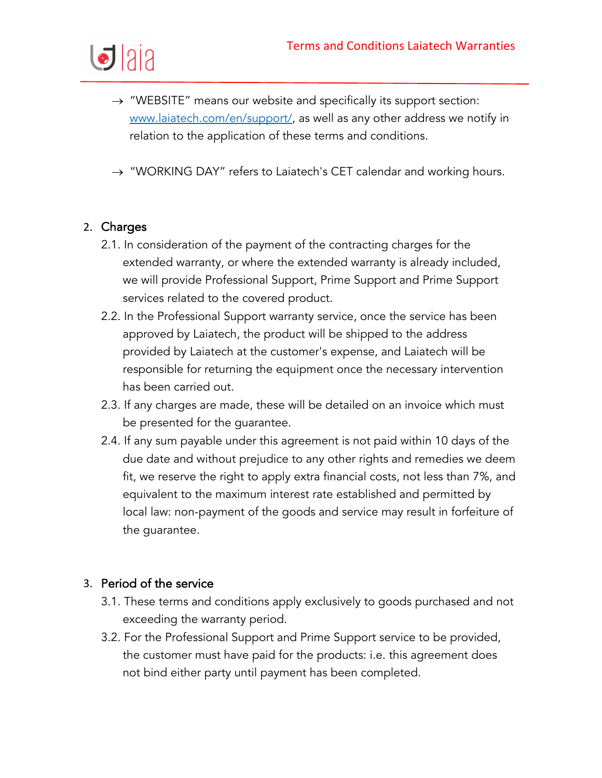

- $\rightarrow$  "WEBSITE" means our website and specifically its support section: www.laiatech.com/en/support/, as well as any other address we notify in relation to the application of these terms and conditions.
- $\rightarrow$  "WORKING DAY" refers to Laiatech's CET calendar and working hours.

#### 2. Charges

- 2.1. In consideration of the payment of the contracting charges for the extended warranty, or where the extended warranty is already included, we will provide Professional Support, Prime Support and Prime Support services related to the covered product.
- 2.2. In the Professional Support warranty service, once the service has been approved by Laiatech, the product will be shipped to the address provided by Laiatech at the customer's expense, and Laiatech will be responsible for returning the equipment once the necessary intervention has been carried out.
- 2.3. If any charges are made, these will be detailed on an invoice which must be presented for the guarantee.
- 2.4. If any sum payable under this agreement is not paid within 10 days of the due date and without prejudice to any other rights and remedies we deem fit, we reserve the right to apply extra financial costs, not less than 7%, and equivalent to the maximum interest rate established and permitted by local law: non-payment of the goods and service may result in forfeiture of the guarantee.

#### 3. Period of the service

- 3.1. These terms and conditions apply exclusively to goods purchased and not exceeding the warranty period.
- 3.2. For the Professional Support and Prime Support service to be provided, the customer must have paid for the products: i.e. this agreement does not bind either party until payment has been completed.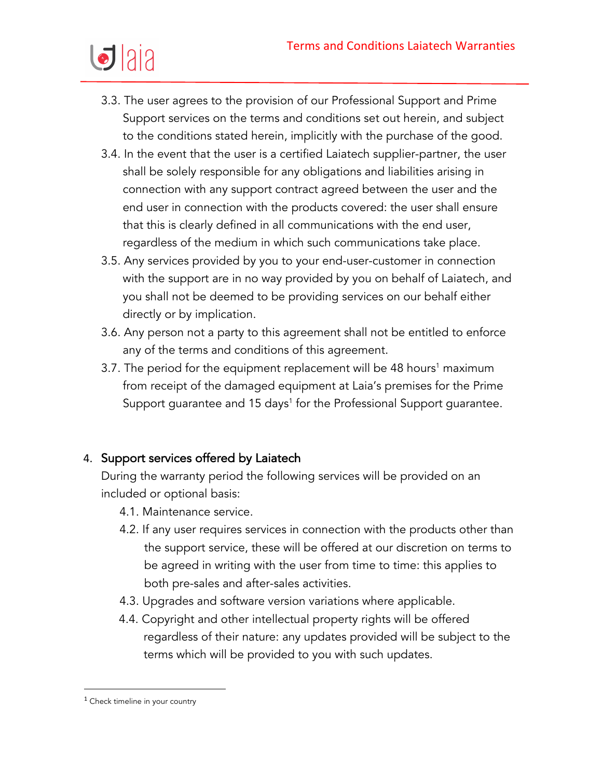

- 3.3. The user agrees to the provision of our Professional Support and Prime Support services on the terms and conditions set out herein, and subject to the conditions stated herein, implicitly with the purchase of the good.
- 3.4. In the event that the user is a certified Laiatech supplier-partner, the user shall be solely responsible for any obligations and liabilities arising in connection with any support contract agreed between the user and the end user in connection with the products covered: the user shall ensure that this is clearly defined in all communications with the end user, regardless of the medium in which such communications take place.
- 3.5. Any services provided by you to your end-user-customer in connection with the support are in no way provided by you on behalf of Laiatech, and you shall not be deemed to be providing services on our behalf either directly or by implication.
- 3.6. Any person not a party to this agreement shall not be entitled to enforce any of the terms and conditions of this agreement.
- 3.7. The period for the equipment replacement will be 48 hours<sup>1</sup> maximum from receipt of the damaged equipment at Laia's premises for the Prime Support guarantee and 15 days<sup>1</sup> for the Professional Support guarantee.

# 4. Support services offered by Laiatech

During the warranty period the following services will be provided on an included or optional basis:

- 4.1. Maintenance service.
- 4.2. If any user requires services in connection with the products other than the support service, these will be offered at our discretion on terms to be agreed in writing with the user from time to time: this applies to both pre-sales and after-sales activities.
- 4.3. Upgrades and software version variations where applicable.
- 4.4. Copyright and other intellectual property rights will be offered regardless of their nature: any updates provided will be subject to the terms which will be provided to you with such updates.

 $1$  Check timeline in your country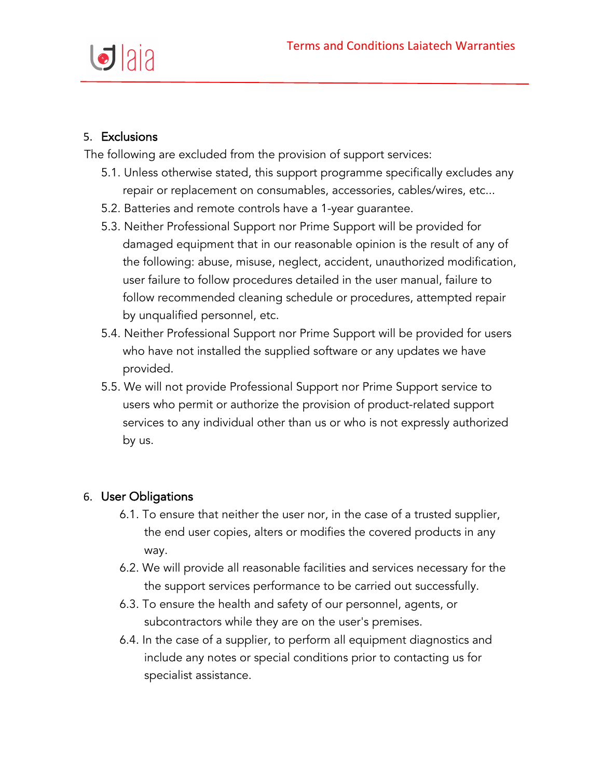

# 5. Exclusions

The following are excluded from the provision of support services:

- 5.1. Unless otherwise stated, this support programme specifically excludes any repair or replacement on consumables, accessories, cables/wires, etc...
- 5.2. Batteries and remote controls have a 1-year guarantee.
- 5.3. Neither Professional Support nor Prime Support will be provided for damaged equipment that in our reasonable opinion is the result of any of the following: abuse, misuse, neglect, accident, unauthorized modification, user failure to follow procedures detailed in the user manual, failure to follow recommended cleaning schedule or procedures, attempted repair by unqualified personnel, etc.
- 5.4. Neither Professional Support nor Prime Support will be provided for users who have not installed the supplied software or any updates we have provided.
- 5.5. We will not provide Professional Support nor Prime Support service to users who permit or authorize the provision of product-related support services to any individual other than us or who is not expressly authorized by us.

# 6. User Obligations

- 6.1. To ensure that neither the user nor, in the case of a trusted supplier, the end user copies, alters or modifies the covered products in any way.
- 6.2. We will provide all reasonable facilities and services necessary for the the support services performance to be carried out successfully.
- 6.3. To ensure the health and safety of our personnel, agents, or subcontractors while they are on the user's premises.
- 6.4. In the case of a supplier, to perform all equipment diagnostics and include any notes or special conditions prior to contacting us for specialist assistance.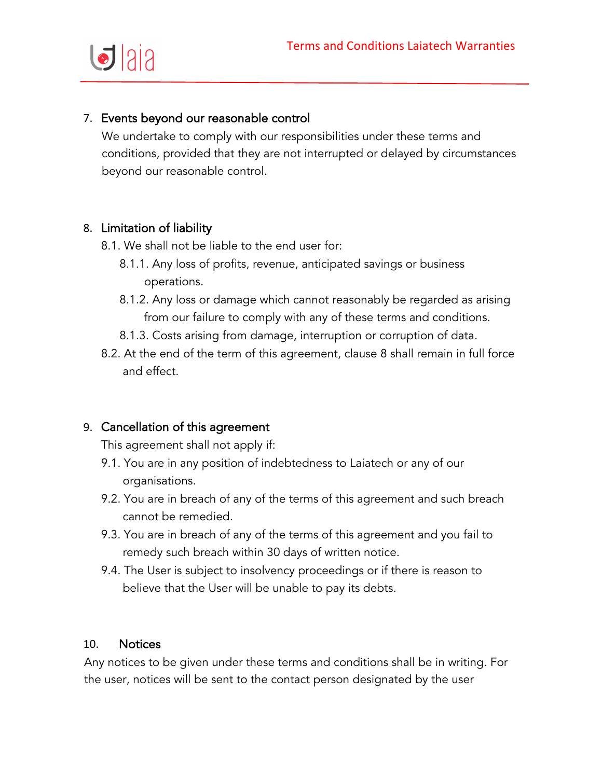

# 7. Events beyond our reasonable control

We undertake to comply with our responsibilities under these terms and conditions, provided that they are not interrupted or delayed by circumstances beyond our reasonable control.

#### 8. Limitation of liability

- 8.1. We shall not be liable to the end user for:
	- 8.1.1. Any loss of profits, revenue, anticipated savings or business operations.
	- 8.1.2. Any loss or damage which cannot reasonably be regarded as arising from our failure to comply with any of these terms and conditions.
	- 8.1.3. Costs arising from damage, interruption or corruption of data.
- 8.2. At the end of the term of this agreement, clause 8 shall remain in full force and effect.

#### 9. Cancellation of this agreement

This agreement shall not apply if:

- 9.1. You are in any position of indebtedness to Laiatech or any of our organisations.
- 9.2. You are in breach of any of the terms of this agreement and such breach cannot be remedied.
- 9.3. You are in breach of any of the terms of this agreement and you fail to remedy such breach within 30 days of written notice.
- 9.4. The User is subject to insolvency proceedings or if there is reason to believe that the User will be unable to pay its debts.

#### 10. Notices

Any notices to be given under these terms and conditions shall be in writing. For the user, notices will be sent to the contact person designated by the user